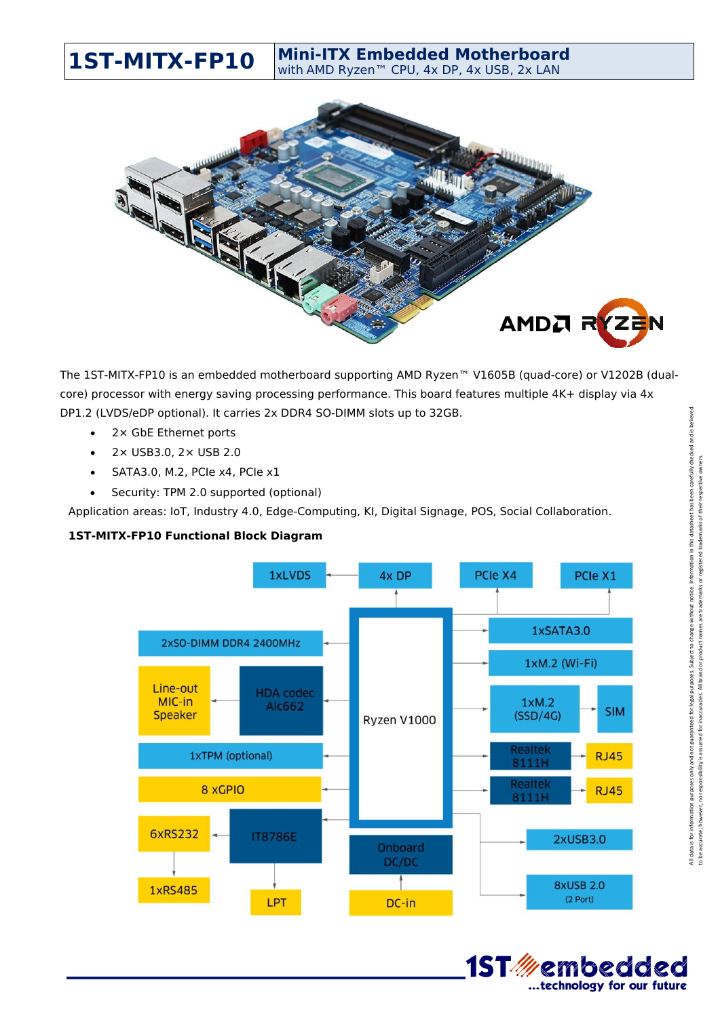

**1ST-MITX-FP10 Mini-ITX Embedded Motherboard**

The 1ST-MITX-FP10 is an embedded motherboard supporting AMD Ryzen™ V1605B (quad-core) or V1202B (dualcore) processor with energy saving processing performance. This board features multiple 4K+ display via 4x DP1.2 (LVDS/eDP optional). It carries 2x DDR4 SO-DIMM slots up to 32GB.

- 2× GbE Ethernet ports
- 2× USB3.0, 2× USB 2.0
- $\bullet$  SATA3.0, M.2, PCIe x4, PCIe x1
- Security: TPM 2.0 supported (optional)

Application areas: IoT, Industry 4.0, Edge-Computing, KI, Digital Signage, POS, Social Collaboration.

## **1ST-MITX-FP10 Functional Block Diagram**